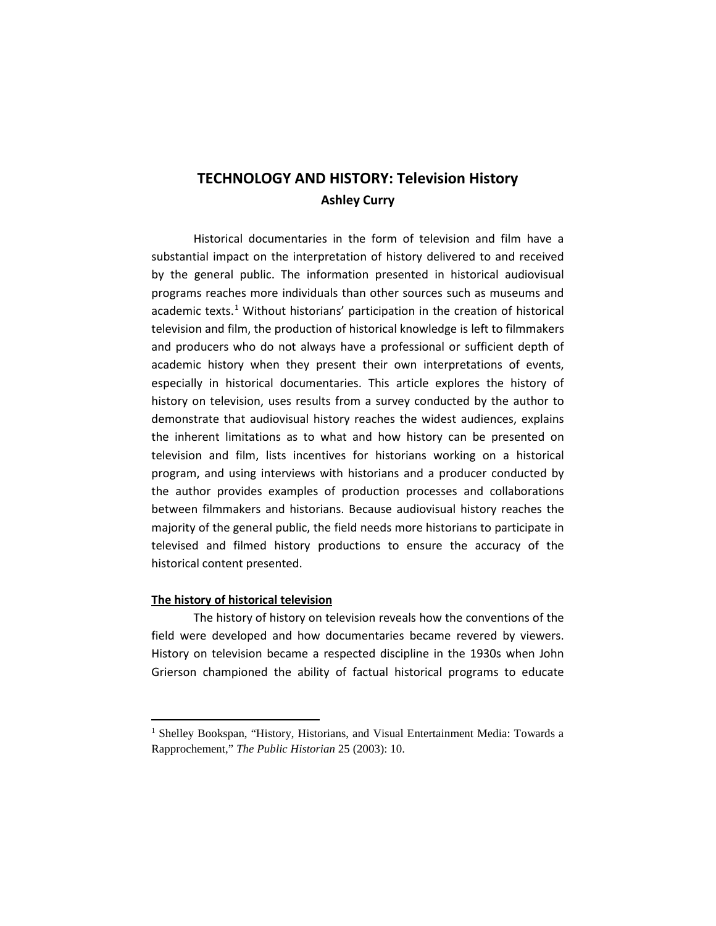# **TECHNOLOGY AND HISTORY: Television History Ashley Curry**

Historical documentaries in the form of television and film have a substantial impact on the interpretation of history delivered to and received by the general public. The information presented in historical audiovisual programs reaches more individuals than other sources such as museums and academic texts.<sup>[1](#page-0-0)</sup> Without historians' participation in the creation of historical television and film, the production of historical knowledge is left to filmmakers and producers who do not always have a professional or sufficient depth of academic history when they present their own interpretations of events, especially in historical documentaries. This article explores the history of history on television, uses results from a survey conducted by the author to demonstrate that audiovisual history reaches the widest audiences, explains the inherent limitations as to what and how history can be presented on television and film, lists incentives for historians working on a historical program, and using interviews with historians and a producer conducted by the author provides examples of production processes and collaborations between filmmakers and historians. Because audiovisual history reaches the majority of the general public, the field needs more historians to participate in televised and filmed history productions to ensure the accuracy of the historical content presented.

# **The history of historical television**

<u>.</u>

The history of history on television reveals how the conventions of the field were developed and how documentaries became revered by viewers. History on television became a respected discipline in the 1930s when John Grierson championed the ability of factual historical programs to educate

<span id="page-0-0"></span><sup>&</sup>lt;sup>1</sup> Shelley Bookspan, "History, Historians, and Visual Entertainment Media: Towards a Rapprochement," *The Public Historian* 25 (2003): 10.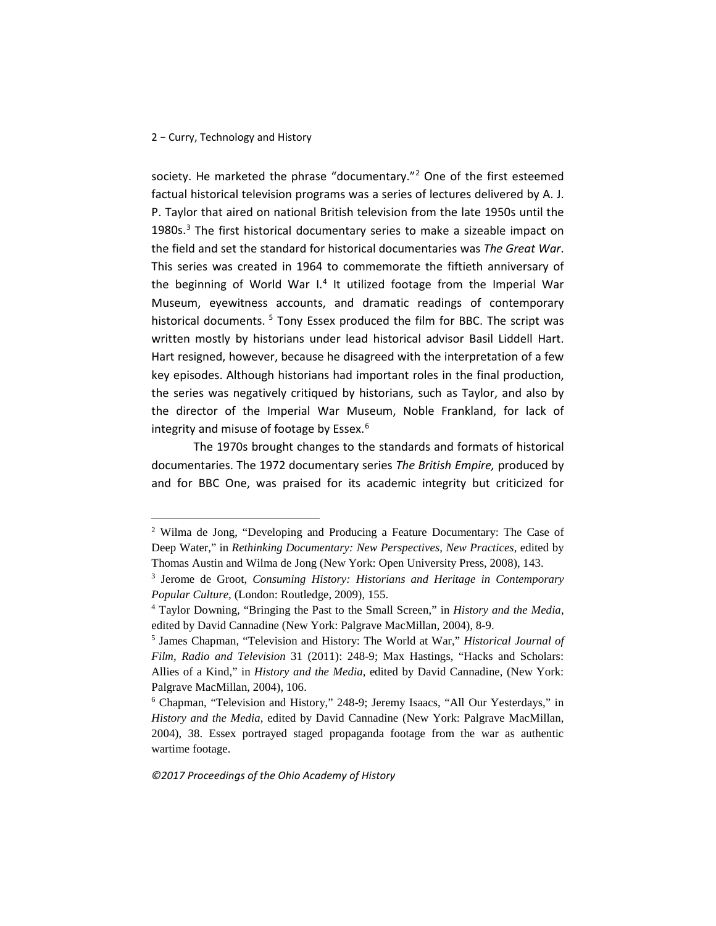<u>.</u>

society. He marketed the phrase "documentary."[2](#page-1-0) One of the first esteemed factual historical television programs was a series of lectures delivered by A. J. P. Taylor that aired on national British television from the late 1950s until the 1980s. $3$  The first historical documentary series to make a sizeable impact on the field and set the standard for historical documentaries was *The Great War*. This series was created in 1964 to commemorate the fiftieth anniversary of the beginning of World War I.<sup>[4](#page-1-2)</sup> It utilized footage from the Imperial War Museum, eyewitness accounts, and dramatic readings of contemporary historical documents. <sup>[5](#page-1-3)</sup> Tony Essex produced the film for BBC. The script was written mostly by historians under lead historical advisor Basil Liddell Hart. Hart resigned, however, because he disagreed with the interpretation of a few key episodes. Although historians had important roles in the final production, the series was negatively critiqued by historians, such as Taylor, and also by the director of the Imperial War Museum, Noble Frankland, for lack of integrity and misuse of footage by Essex.<sup>[6](#page-1-4)</sup>

The 1970s brought changes to the standards and formats of historical documentaries. The 1972 documentary series *The British Empire,* produced by and for BBC One, was praised for its academic integrity but criticized for

<span id="page-1-0"></span><sup>2</sup> Wilma de Jong, "Developing and Producing a Feature Documentary: The Case of Deep Water," in *Rethinking Documentary: New Perspectives, New Practices,* edited by Thomas Austin and Wilma de Jong (New York: Open University Press, 2008), 143.

<span id="page-1-1"></span><sup>3</sup> Jerome de Groot, *Consuming History: Historians and Heritage in Contemporary Popular Culture,* (London: Routledge, 2009), 155.

<span id="page-1-2"></span><sup>4</sup> Taylor Downing, "Bringing the Past to the Small Screen," in *History and the Media*, edited by David Cannadine (New York: Palgrave MacMillan, 2004), 8-9.

<span id="page-1-3"></span><sup>5</sup> James Chapman, "Television and History: The World at War," *Historical Journal of Film, Radio and Television* 31 (2011): 248-9; Max Hastings, "Hacks and Scholars: Allies of a Kind," in *History and the Media*, edited by David Cannadine, (New York: Palgrave MacMillan, 2004), 106.

<span id="page-1-4"></span><sup>6</sup> Chapman, "Television and History," 248-9; Jeremy Isaacs, "All Our Yesterdays," in *History and the Media*, edited by David Cannadine (New York: Palgrave MacMillan, 2004), 38. Essex portrayed staged propaganda footage from the war as authentic wartime footage.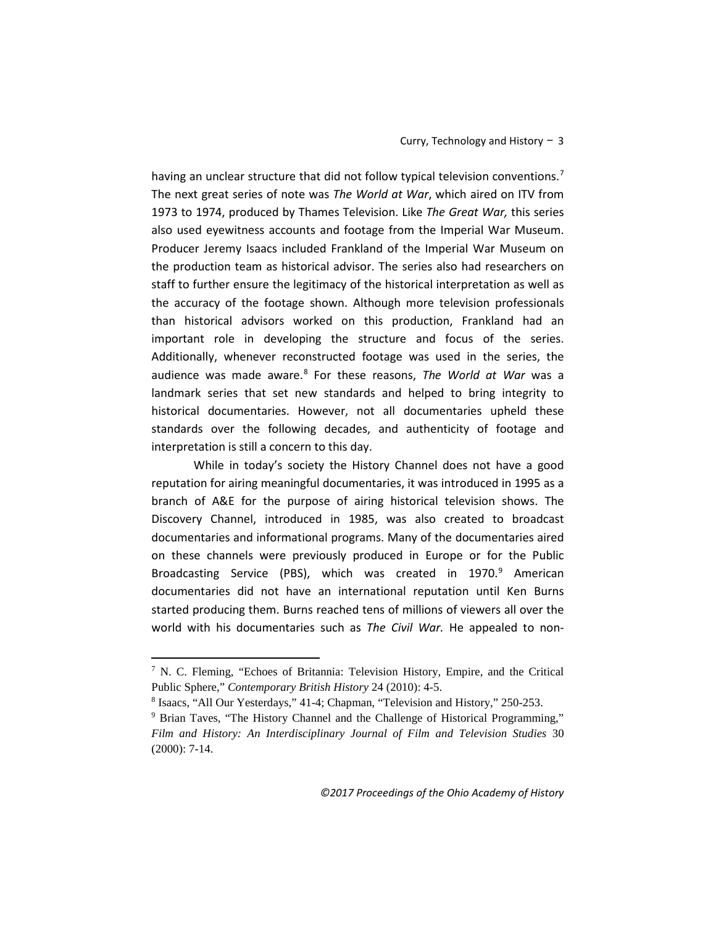having an unclear structure that did not follow typical television conventions.<sup>[7](#page-2-0)</sup> The next great series of note was *The World at War*, which aired on ITV from 1973 to 1974, produced by Thames Television. Like *The Great War,* this series also used eyewitness accounts and footage from the Imperial War Museum. Producer Jeremy Isaacs included Frankland of the Imperial War Museum on the production team as historical advisor. The series also had researchers on staff to further ensure the legitimacy of the historical interpretation as well as the accuracy of the footage shown. Although more television professionals than historical advisors worked on this production, Frankland had an important role in developing the structure and focus of the series. Additionally, whenever reconstructed footage was used in the series, the audience was made aware.[8](#page-2-1) For these reasons, *The World at War* was a landmark series that set new standards and helped to bring integrity to historical documentaries. However, not all documentaries upheld these standards over the following decades, and authenticity of footage and interpretation is still a concern to this day.

While in today's society the History Channel does not have a good reputation for airing meaningful documentaries, it was introduced in 1995 as a branch of A&E for the purpose of airing historical television shows. The Discovery Channel, introduced in 1985, was also created to broadcast documentaries and informational programs. Many of the documentaries aired on these channels were previously produced in Europe or for the Public Broadcasting Service (PBS), which was created in 1[9](#page-2-2)70.<sup>9</sup> American documentaries did not have an international reputation until Ken Burns started producing them. Burns reached tens of millions of viewers all over the world with his documentaries such as *The Civil War.* He appealed to non-

<span id="page-2-0"></span><sup>7</sup> N. C. Fleming, "Echoes of Britannia: Television History, Empire, and the Critical Public Sphere," Contemporary British History 24 (2010): 4-5.<br>
<sup>8</sup> Isaacs, "All Our Yesterdays," 41-4; Chapman, "Television and History," 250-253.<br>
<sup>9</sup> Brian Taves, "The History Channel and the Challenge of Historical Progr

<span id="page-2-2"></span><span id="page-2-1"></span>*Film and History: An Interdisciplinary Journal of Film and Television Studies* 30 (2000): 7-14.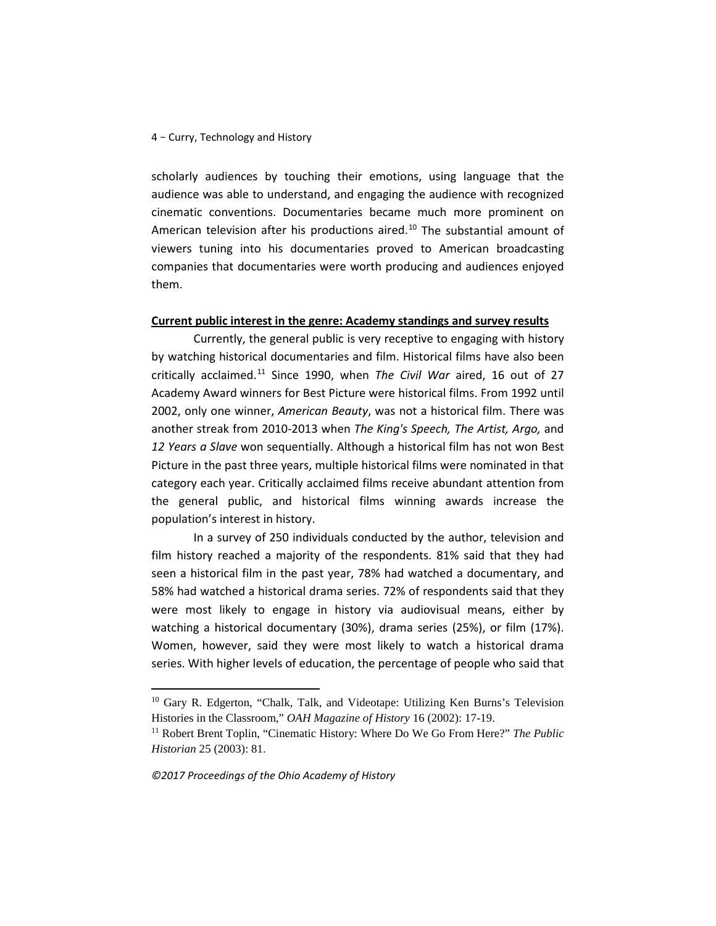scholarly audiences by touching their emotions, using language that the audience was able to understand, and engaging the audience with recognized cinematic conventions. Documentaries became much more prominent on American television after his productions aired.<sup>[10](#page-3-0)</sup> The substantial amount of viewers tuning into his documentaries proved to American broadcasting companies that documentaries were worth producing and audiences enjoyed them.

# **Current public interest in the genre: Academy standings and survey results**

Currently, the general public is very receptive to engaging with history by watching historical documentaries and film. Historical films have also been critically acclaimed.[11](#page-3-1) Since 1990, when *The Civil War* aired, 16 out of 27 Academy Award winners for Best Picture were historical films. From 1992 until 2002, only one winner, *American Beauty*, was not a historical film. There was another streak from 2010-2013 when *The King's Speech, The Artist, Argo,* and *12 Years a Slave* won sequentially. Although a historical film has not won Best Picture in the past three years, multiple historical films were nominated in that category each year. Critically acclaimed films receive abundant attention from the general public, and historical films winning awards increase the population's interest in history.

In a survey of 250 individuals conducted by the author, television and film history reached a majority of the respondents. 81% said that they had seen a historical film in the past year, 78% had watched a documentary, and 58% had watched a historical drama series. 72% of respondents said that they were most likely to engage in history via audiovisual means, either by watching a historical documentary (30%), drama series (25%), or film (17%). Women, however, said they were most likely to watch a historical drama series. With higher levels of education, the percentage of people who said that

*©2017 Proceedings of the Ohio Academy of History*

<span id="page-3-0"></span><sup>&</sup>lt;sup>10</sup> Gary R. Edgerton, "Chalk, Talk, and Videotape: Utilizing Ken Burns's Television Histories in the Classroom," *OAH Magazine of History* 16 (2002): 17-19.

<span id="page-3-1"></span><sup>&</sup>lt;sup>11</sup> Robert Brent Toplin, "Cinematic History: Where Do We Go From Here?" *The Public Historian* 25 (2003): 81.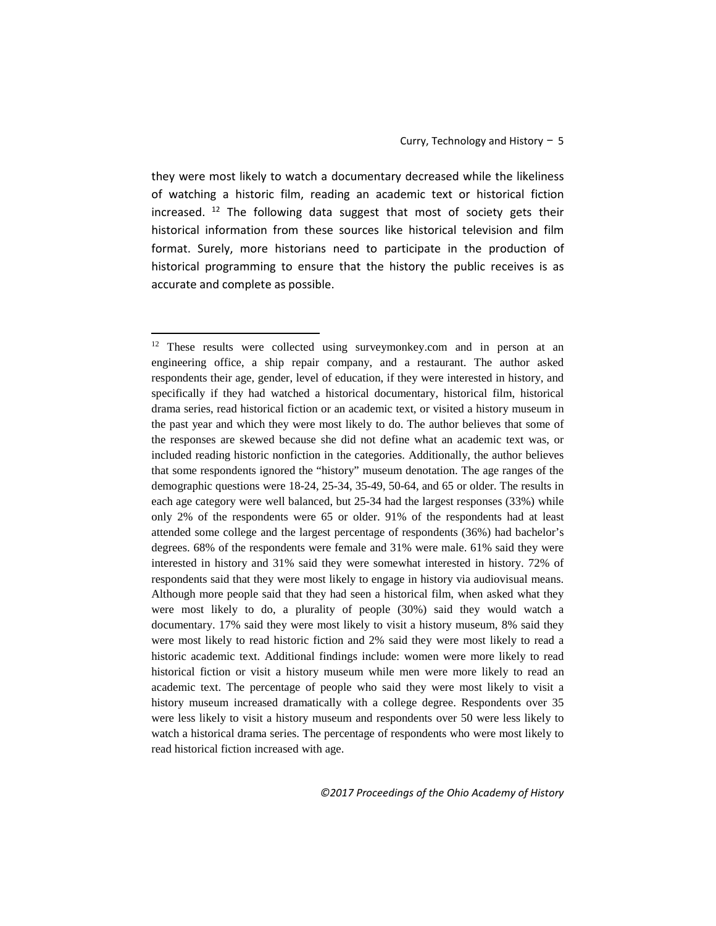they were most likely to watch a documentary decreased while the likeliness of watching a historic film, reading an academic text or historical fiction increased.  $12$  The following data suggest that most of society gets their historical information from these sources like historical television and film format. Surely, more historians need to participate in the production of historical programming to ensure that the history the public receives is as accurate and complete as possible.

<span id="page-4-0"></span><sup>&</sup>lt;sup>12</sup> These results were collected using surveymonkey.com and in person at an engineering office, a ship repair company, and a restaurant. The author asked respondents their age, gender, level of education, if they were interested in history, and specifically if they had watched a historical documentary, historical film, historical drama series, read historical fiction or an academic text, or visited a history museum in the past year and which they were most likely to do. The author believes that some of the responses are skewed because she did not define what an academic text was, or included reading historic nonfiction in the categories. Additionally, the author believes that some respondents ignored the "history" museum denotation. The age ranges of the demographic questions were 18-24, 25-34, 35-49, 50-64, and 65 or older. The results in each age category were well balanced, but 25-34 had the largest responses (33%) while only 2% of the respondents were 65 or older. 91% of the respondents had at least attended some college and the largest percentage of respondents (36%) had bachelor's degrees. 68% of the respondents were female and 31% were male. 61% said they were interested in history and 31% said they were somewhat interested in history. 72% of respondents said that they were most likely to engage in history via audiovisual means. Although more people said that they had seen a historical film, when asked what they were most likely to do, a plurality of people (30%) said they would watch a documentary. 17% said they were most likely to visit a history museum, 8% said they were most likely to read historic fiction and 2% said they were most likely to read a historic academic text. Additional findings include: women were more likely to read historical fiction or visit a history museum while men were more likely to read an academic text. The percentage of people who said they were most likely to visit a history museum increased dramatically with a college degree. Respondents over 35 were less likely to visit a history museum and respondents over 50 were less likely to watch a historical drama series. The percentage of respondents who were most likely to read historical fiction increased with age.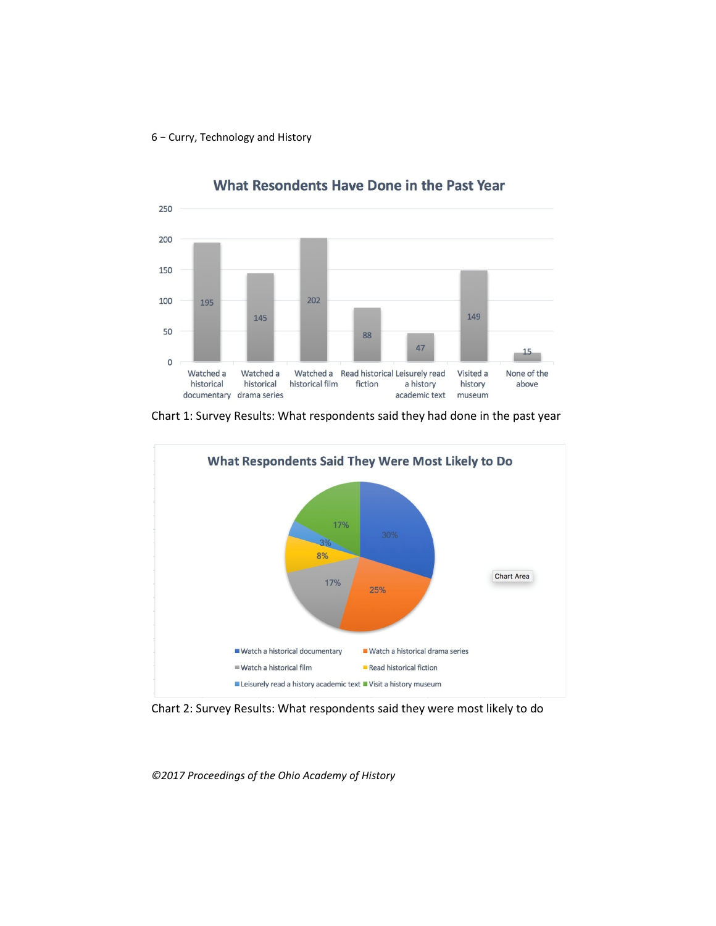

What Resondents Have Done in the Past Year

Chart 1: Survey Results: What respondents said they had done in the past year



Chart 2: Survey Results: What respondents said they were most likely to do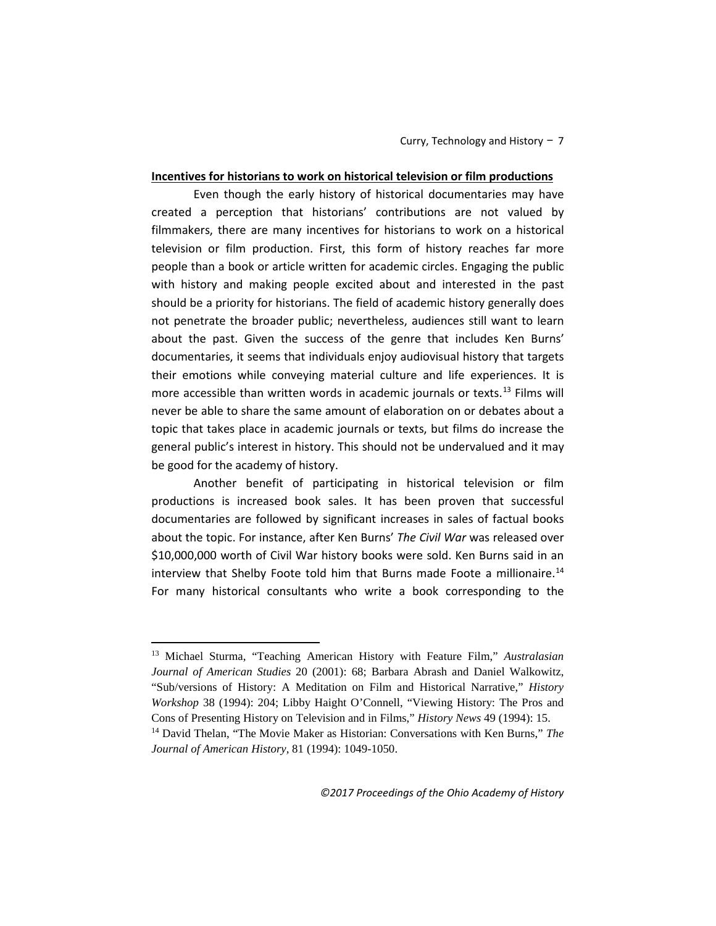# **Incentives for historians to work on historical television or film productions**

Even though the early history of historical documentaries may have created a perception that historians' contributions are not valued by filmmakers, there are many incentives for historians to work on a historical television or film production. First, this form of history reaches far more people than a book or article written for academic circles. Engaging the public with history and making people excited about and interested in the past should be a priority for historians. The field of academic history generally does not penetrate the broader public; nevertheless, audiences still want to learn about the past. Given the success of the genre that includes Ken Burns' documentaries, it seems that individuals enjoy audiovisual history that targets their emotions while conveying material culture and life experiences. It is more accessible than written words in academic journals or texts.<sup>[13](#page-6-0)</sup> Films will never be able to share the same amount of elaboration on or debates about a topic that takes place in academic journals or texts, but films do increase the general public's interest in history. This should not be undervalued and it may be good for the academy of history.

Another benefit of participating in historical television or film productions is increased book sales. It has been proven that successful documentaries are followed by significant increases in sales of factual books about the topic. For instance, after Ken Burns' *The Civil War* was released over \$10,000,000 worth of Civil War history books were sold. Ken Burns said in an interview that Shelby Foote told him that Burns made Foote a millionaire.<sup>[14](#page-6-1)</sup> For many historical consultants who write a book corresponding to the

<span id="page-6-0"></span><sup>13</sup> Michael Sturma, "Teaching American History with Feature Film," *Australasian Journal of American Studies* 20 (2001): 68; Barbara Abrash and Daniel Walkowitz, "Sub/versions of History: A Meditation on Film and Historical Narrative," *History Workshop* 38 (1994): 204; Libby Haight O'Connell, "Viewing History: The Pros and Cons of Presenting History on Television and in Films," *History News* 49 (1994): 15. 14 David Thelan, "The Movie Maker as Historian: Conversations with Ken Burns," *The* 

<span id="page-6-1"></span>*Journal of American History,* 81 (1994): 1049-1050.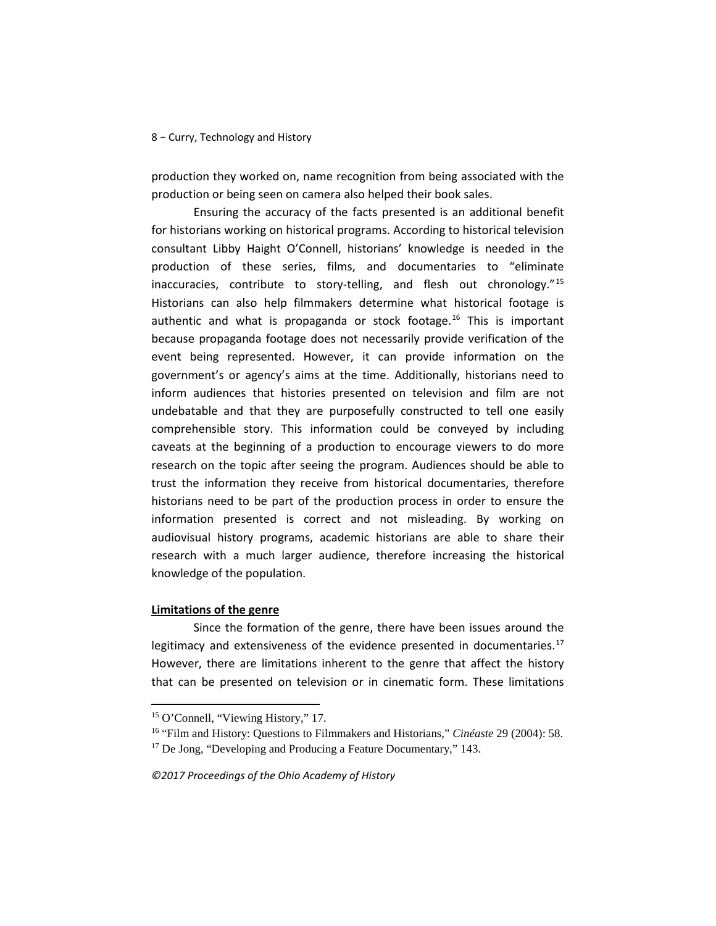production they worked on, name recognition from being associated with the production or being seen on camera also helped their book sales.

Ensuring the accuracy of the facts presented is an additional benefit for historians working on historical programs. According to historical television consultant Libby Haight O'Connell, historians' knowledge is needed in the production of these series, films, and documentaries to "eliminate inaccuracies, contribute to story-telling, and flesh out chronology."[15](#page-7-0) Historians can also help filmmakers determine what historical footage is authentic and what is propaganda or stock footage.<sup>[16](#page-7-1)</sup> This is important because propaganda footage does not necessarily provide verification of the event being represented. However, it can provide information on the government's or agency's aims at the time. Additionally, historians need to inform audiences that histories presented on television and film are not undebatable and that they are purposefully constructed to tell one easily comprehensible story. This information could be conveyed by including caveats at the beginning of a production to encourage viewers to do more research on the topic after seeing the program. Audiences should be able to trust the information they receive from historical documentaries, therefore historians need to be part of the production process in order to ensure the information presented is correct and not misleading. By working on audiovisual history programs, academic historians are able to share their research with a much larger audience, therefore increasing the historical knowledge of the population.

# **Limitations of the genre**

<u>.</u>

Since the formation of the genre, there have been issues around the legitimacy and extensiveness of the evidence presented in documentaries.<sup>[17](#page-7-2)</sup> However, there are limitations inherent to the genre that affect the history that can be presented on television or in cinematic form. These limitations

<span id="page-7-0"></span><sup>15</sup> O'Connell, "Viewing History," 17.

<span id="page-7-2"></span><span id="page-7-1"></span><sup>&</sup>lt;sup>16</sup> "Film and History: Questions to Filmmakers and Historians," *Cinéaste* 29 (2004): 58.<br><sup>17</sup> De Jong, "Developing and Producing a Feature Documentary," 143.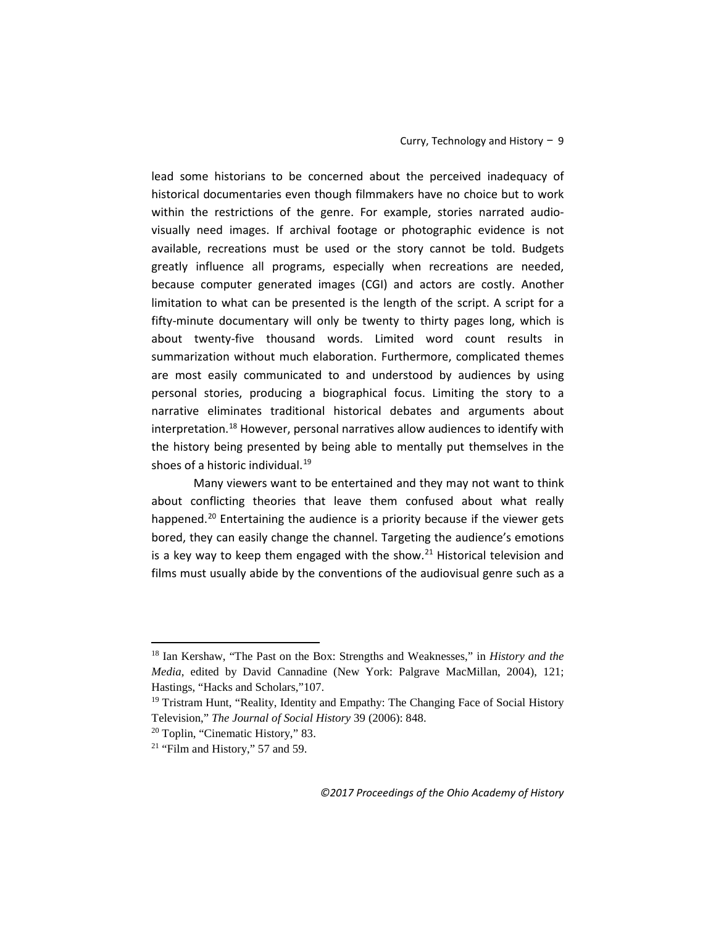lead some historians to be concerned about the perceived inadequacy of historical documentaries even though filmmakers have no choice but to work within the restrictions of the genre. For example, stories narrated audiovisually need images. If archival footage or photographic evidence is not available, recreations must be used or the story cannot be told. Budgets greatly influence all programs, especially when recreations are needed, because computer generated images (CGI) and actors are costly. Another limitation to what can be presented is the length of the script. A script for a fifty-minute documentary will only be twenty to thirty pages long, which is about twenty-five thousand words. Limited word count results in summarization without much elaboration. Furthermore, complicated themes are most easily communicated to and understood by audiences by using personal stories, producing a biographical focus. Limiting the story to a narrative eliminates traditional historical debates and arguments about interpretation.<sup>[18](#page-8-0)</sup> However, personal narratives allow audiences to identify with the history being presented by being able to mentally put themselves in the shoes of a historic individual.<sup>[19](#page-8-1)</sup>

Many viewers want to be entertained and they may not want to think about conflicting theories that leave them confused about what really happened.<sup>[20](#page-8-2)</sup> Entertaining the audience is a priority because if the viewer gets bored, they can easily change the channel. Targeting the audience's emotions is a key way to keep them engaged with the show. $^{21}$  Historical television and films must usually abide by the conventions of the audiovisual genre such as a

<span id="page-8-0"></span><sup>18</sup> Ian Kershaw, "The Past on the Box: Strengths and Weaknesses," in *History and the Media*, edited by David Cannadine (New York: Palgrave MacMillan, 2004), 121; Hastings, "Hacks and Scholars,"107.

<span id="page-8-1"></span><sup>&</sup>lt;sup>19</sup> Tristram Hunt, "Reality, Identity and Empathy: The Changing Face of Social History Television," *The Journal of Social History* 39 (2006): 848. 20 Toplin, "Cinematic History," 83.

<span id="page-8-3"></span><span id="page-8-2"></span> $21$  "Film and History," 57 and 59.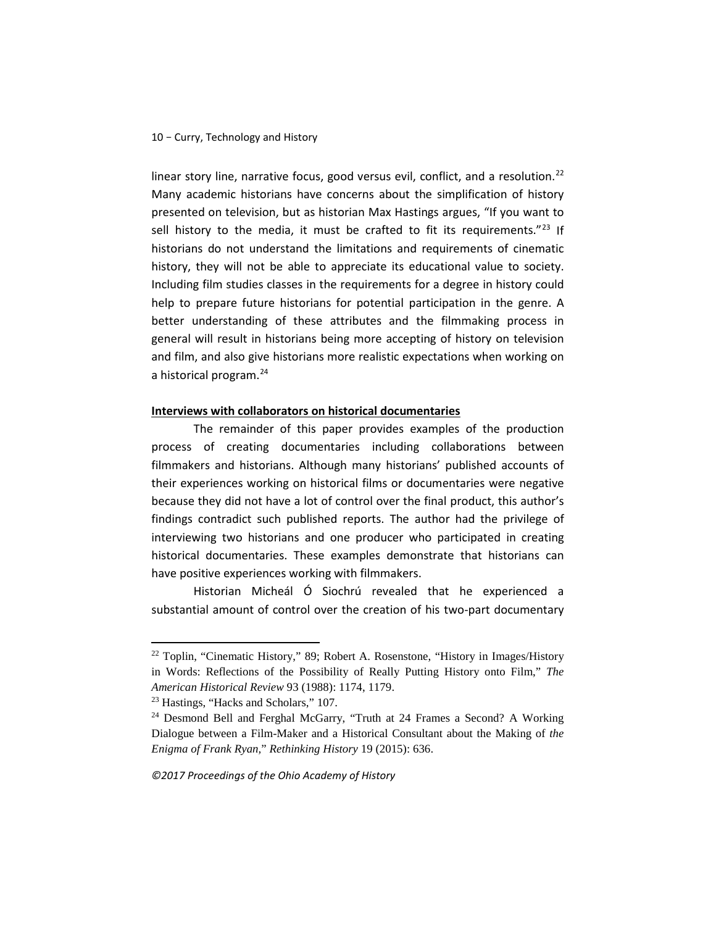linear story line, narrative focus, good versus evil, conflict, and a resolution.<sup>[22](#page-9-0)</sup> Many academic historians have concerns about the simplification of history presented on television, but as historian Max Hastings argues, "If you want to sell history to the media, it must be crafted to fit its requirements."<sup>[23](#page-9-1)</sup> If historians do not understand the limitations and requirements of cinematic history, they will not be able to appreciate its educational value to society. Including film studies classes in the requirements for a degree in history could help to prepare future historians for potential participation in the genre. A better understanding of these attributes and the filmmaking process in general will result in historians being more accepting of history on television and film, and also give historians more realistic expectations when working on a historical program[.24](#page-9-2)

# **Interviews with collaborators on historical documentaries**

The remainder of this paper provides examples of the production process of creating documentaries including collaborations between filmmakers and historians. Although many historians' published accounts of their experiences working on historical films or documentaries were negative because they did not have a lot of control over the final product, this author's findings contradict such published reports. The author had the privilege of interviewing two historians and one producer who participated in creating historical documentaries. These examples demonstrate that historians can have positive experiences working with filmmakers.

Historian Micheál Ó Siochrú revealed that he experienced a substantial amount of control over the creation of his two-part documentary

<span id="page-9-0"></span><sup>22</sup> Toplin, "Cinematic History," 89; Robert A. Rosenstone, "History in Images/History in Words: Reflections of the Possibility of Really Putting History onto Film," *The American Historical Review* 93 (1988): 1174, 1179. 23 Hastings, "Hacks and Scholars," 107.

<span id="page-9-2"></span><span id="page-9-1"></span><sup>24</sup> Desmond Bell and Ferghal McGarry, "Truth at 24 Frames a Second? A Working Dialogue between a Film-Maker and a Historical Consultant about the Making of *the Enigma of Frank Ryan,*" *Rethinking History* 19 (2015): 636.

*<sup>©2017</sup> Proceedings of the Ohio Academy of History*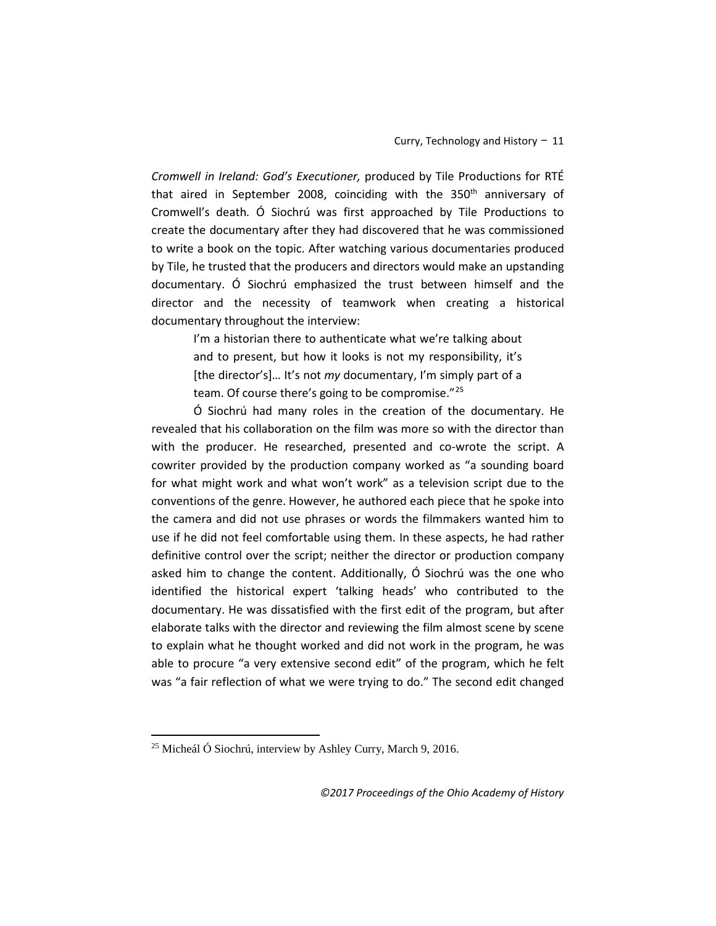*Cromwell in Ireland: God's Executioner,* produced by Tile Productions for RTÉ that aired in September 2008, coinciding with the 350<sup>th</sup> anniversary of Cromwell's death*.* Ó Siochrú was first approached by Tile Productions to create the documentary after they had discovered that he was commissioned to write a book on the topic. After watching various documentaries produced by Tile, he trusted that the producers and directors would make an upstanding documentary. Ó Siochrú emphasized the trust between himself and the director and the necessity of teamwork when creating a historical documentary throughout the interview:

> I'm a historian there to authenticate what we're talking about and to present, but how it looks is not my responsibility, it's [the director's]… It's not *my* documentary, I'm simply part of a team. Of course there's going to be compromise."<sup>[25](#page-10-0)</sup>

Ó Siochrú had many roles in the creation of the documentary. He revealed that his collaboration on the film was more so with the director than with the producer. He researched, presented and co-wrote the script. A cowriter provided by the production company worked as "a sounding board for what might work and what won't work" as a television script due to the conventions of the genre. However, he authored each piece that he spoke into the camera and did not use phrases or words the filmmakers wanted him to use if he did not feel comfortable using them. In these aspects, he had rather definitive control over the script; neither the director or production company asked him to change the content. Additionally, Ó Siochrú was the one who identified the historical expert 'talking heads' who contributed to the documentary. He was dissatisfied with the first edit of the program, but after elaborate talks with the director and reviewing the film almost scene by scene to explain what he thought worked and did not work in the program, he was able to procure "a very extensive second edit" of the program, which he felt was "a fair reflection of what we were trying to do." The second edit changed

<span id="page-10-0"></span><sup>25</sup> Micheál Ó Siochrú, interview by Ashley Curry, March 9, 2016.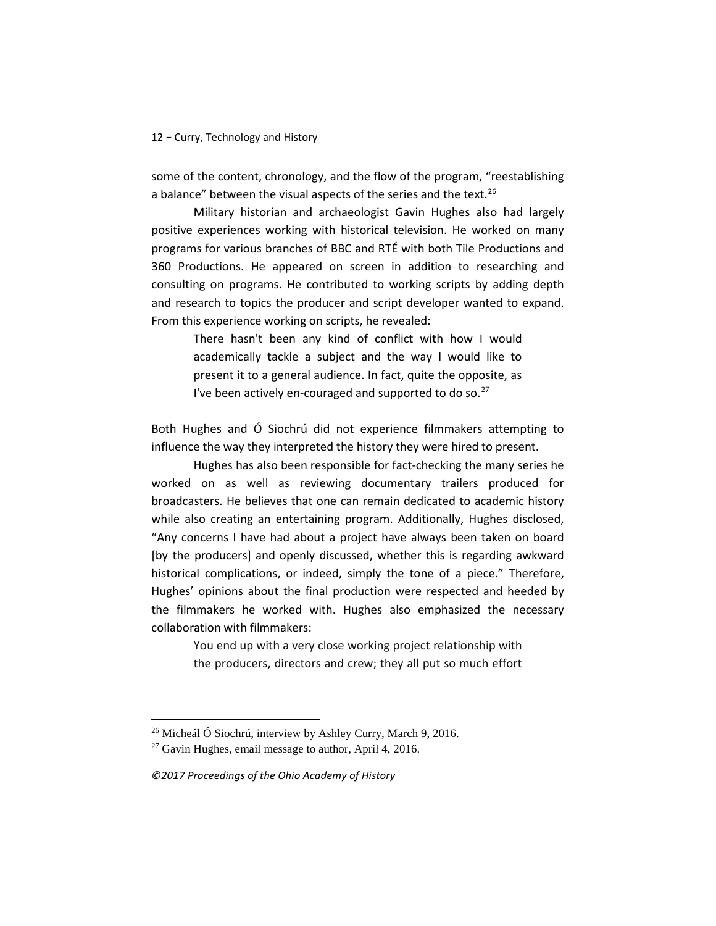some of the content, chronology, and the flow of the program, "reestablishing a balance" between the visual aspects of the series and the text. $^{26}$ 

Military historian and archaeologist Gavin Hughes also had largely positive experiences working with historical television. He worked on many programs for various branches of BBC and RTÉ with both Tile Productions and 360 Productions. He appeared on screen in addition to researching and consulting on programs. He contributed to working scripts by adding depth and research to topics the producer and script developer wanted to expand. From this experience working on scripts, he revealed:

> There hasn't been any kind of conflict with how I would academically tackle a subject and the way I would like to present it to a general audience. In fact, quite the opposite, as I've been actively en-couraged and supported to do so. $27$

Both Hughes and Ó Siochrú did not experience filmmakers attempting to influence the way they interpreted the history they were hired to present.

Hughes has also been responsible for fact-checking the many series he worked on as well as reviewing documentary trailers produced for broadcasters. He believes that one can remain dedicated to academic history while also creating an entertaining program. Additionally, Hughes disclosed, "Any concerns I have had about a project have always been taken on board [by the producers] and openly discussed, whether this is regarding awkward historical complications, or indeed, simply the tone of a piece." Therefore, Hughes' opinions about the final production were respected and heeded by the filmmakers he worked with. Hughes also emphasized the necessary collaboration with filmmakers:

You end up with a very close working project relationship with the producers, directors and crew; they all put so much effort

*©2017 Proceedings of the Ohio Academy of History*

<span id="page-11-0"></span><sup>26</sup> Micheál Ó Siochrú, interview by Ashley Curry, March 9, 2016.

<span id="page-11-1"></span><sup>27</sup> Gavin Hughes, email message to author, April 4, 2016.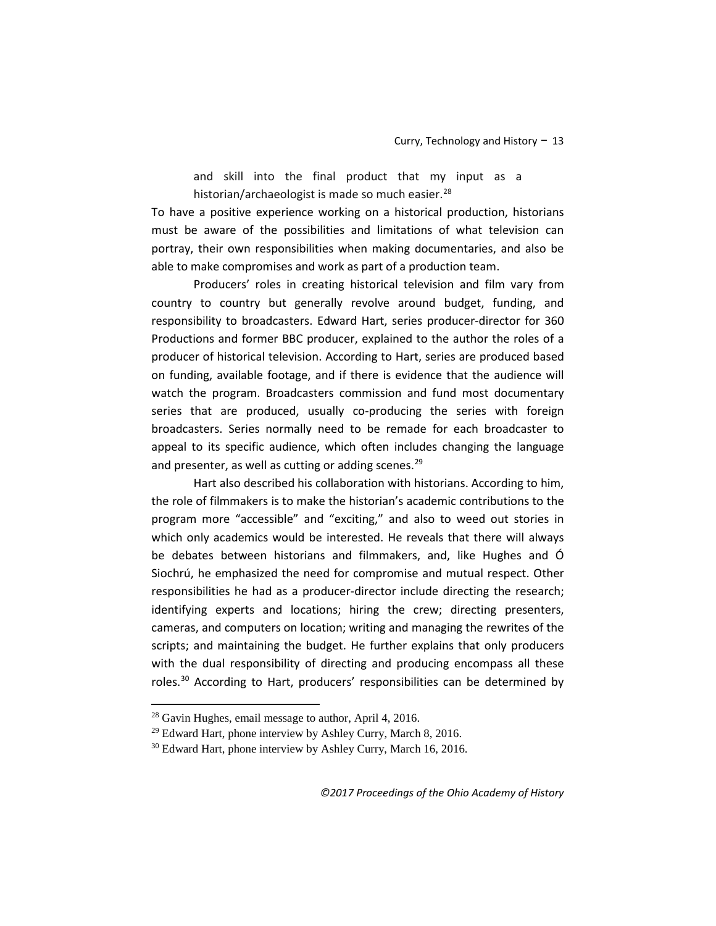and skill into the final product that my input as a historian/archaeologist is made so much easier.<sup>[28](#page-12-0)</sup>

To have a positive experience working on a historical production, historians must be aware of the possibilities and limitations of what television can portray, their own responsibilities when making documentaries, and also be able to make compromises and work as part of a production team.

Producers' roles in creating historical television and film vary from country to country but generally revolve around budget, funding, and responsibility to broadcasters. Edward Hart, series producer-director for 360 Productions and former BBC producer, explained to the author the roles of a producer of historical television. According to Hart, series are produced based on funding, available footage, and if there is evidence that the audience will watch the program. Broadcasters commission and fund most documentary series that are produced, usually co-producing the series with foreign broadcasters. Series normally need to be remade for each broadcaster to appeal to its specific audience, which often includes changing the language and presenter, as well as cutting or adding scenes.<sup>[29](#page-12-1)</sup>

Hart also described his collaboration with historians. According to him, the role of filmmakers is to make the historian's academic contributions to the program more "accessible" and "exciting," and also to weed out stories in which only academics would be interested. He reveals that there will always be debates between historians and filmmakers, and, like Hughes and Ó Siochrú, he emphasized the need for compromise and mutual respect. Other responsibilities he had as a producer-director include directing the research; identifying experts and locations; hiring the crew; directing presenters, cameras, and computers on location; writing and managing the rewrites of the scripts; and maintaining the budget. He further explains that only producers with the dual responsibility of directing and producing encompass all these roles.[30](#page-12-2) According to Hart, producers' responsibilities can be determined by

<span id="page-12-0"></span><sup>28</sup> Gavin Hughes, email message to author, April 4, 2016.

<span id="page-12-1"></span><sup>&</sup>lt;sup>29</sup> Edward Hart, phone interview by Ashley Curry, March 8, 2016.

<span id="page-12-2"></span><sup>&</sup>lt;sup>30</sup> Edward Hart, phone interview by Ashley Curry, March 16, 2016.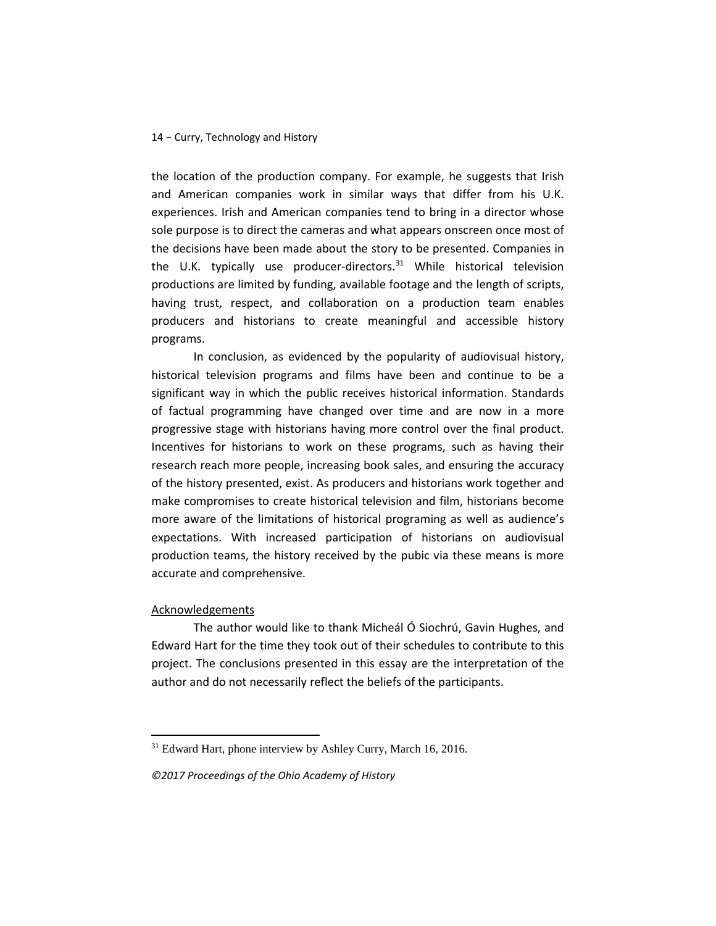the location of the production company. For example, he suggests that Irish and American companies work in similar ways that differ from his U.K. experiences. Irish and American companies tend to bring in a director whose sole purpose is to direct the cameras and what appears onscreen once most of the decisions have been made about the story to be presented. Companies in the U.K. typically use producer-directors. $31$  While historical television productions are limited by funding, available footage and the length of scripts, having trust, respect, and collaboration on a production team enables producers and historians to create meaningful and accessible history programs.

In conclusion, as evidenced by the popularity of audiovisual history, historical television programs and films have been and continue to be a significant way in which the public receives historical information. Standards of factual programming have changed over time and are now in a more progressive stage with historians having more control over the final product. Incentives for historians to work on these programs, such as having their research reach more people, increasing book sales, and ensuring the accuracy of the history presented, exist. As producers and historians work together and make compromises to create historical television and film, historians become more aware of the limitations of historical programing as well as audience's expectations. With increased participation of historians on audiovisual production teams, the history received by the pubic via these means is more accurate and comprehensive.

#### Acknowledgements

<u>.</u>

The author would like to thank Micheál Ó Siochrú, Gavin Hughes, and Edward Hart for the time they took out of their schedules to contribute to this project. The conclusions presented in this essay are the interpretation of the author and do not necessarily reflect the beliefs of the participants.

<span id="page-13-0"></span><sup>&</sup>lt;sup>31</sup> Edward Hart, phone interview by Ashley Curry, March 16, 2016.

*<sup>©2017</sup> Proceedings of the Ohio Academy of History*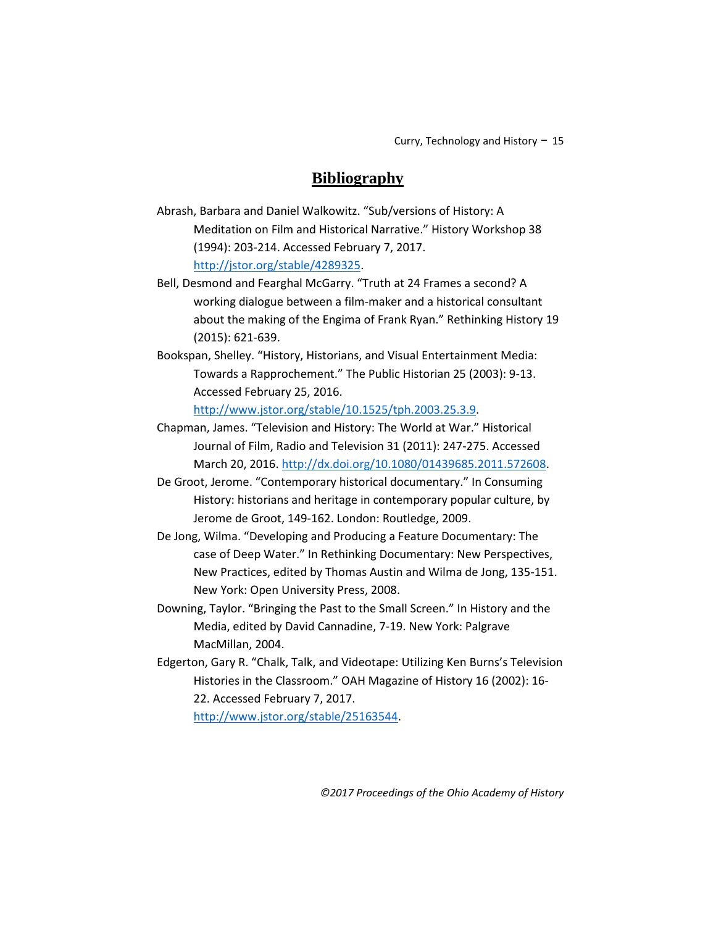# **Bibliography**

Abrash, Barbara and Daniel Walkowitz. "Sub/versions of History: A Meditation on Film and Historical Narrative." History Workshop 38 (1994): 203-214. Accessed February 7, 2017. [http://jstor.org/stable/4289325.](http://jstor.org/stable/4289325)

Bell, Desmond and Fearghal McGarry. "Truth at 24 Frames a second? A working dialogue between a film-maker and a historical consultant about the making of the Engima of Frank Ryan." Rethinking History 19 (2015): 621-639.

Bookspan, Shelley. "History, Historians, and Visual Entertainment Media: Towards a Rapprochement." The Public Historian 25 (2003): 9-13. Accessed February 25, 2016.

[http://www.jstor.org/stable/10.1525/tph.2003.25.3.9.](http://www.jstor.org/stable/10.1525/tph.2003.25.3.9)

- Chapman, James. "Television and History: The World at War." Historical Journal of Film, Radio and Television 31 (2011): 247-275. Accessed March 20, 2016. [http://dx.doi.org/10.1080/01439685.2011.572608.](http://dx.doi.org/10.1080/01439685.2011.572608)
- De Groot, Jerome. "Contemporary historical documentary." In Consuming History: historians and heritage in contemporary popular culture, by Jerome de Groot, 149-162. London: Routledge, 2009.

De Jong, Wilma. "Developing and Producing a Feature Documentary: The case of Deep Water." In Rethinking Documentary: New Perspectives, New Practices, edited by Thomas Austin and Wilma de Jong, 135-151. New York: Open University Press, 2008.

Downing, Taylor. "Bringing the Past to the Small Screen." In History and the Media, edited by David Cannadine, 7-19. New York: Palgrave MacMillan, 2004.

Edgerton, Gary R. "Chalk, Talk, and Videotape: Utilizing Ken Burns's Television Histories in the Classroom." OAH Magazine of History 16 (2002): 16- 22. Accessed February 7, 2017. [http://www.jstor.org/stable/25163544.](http://www.jstor.org/stable/25163544)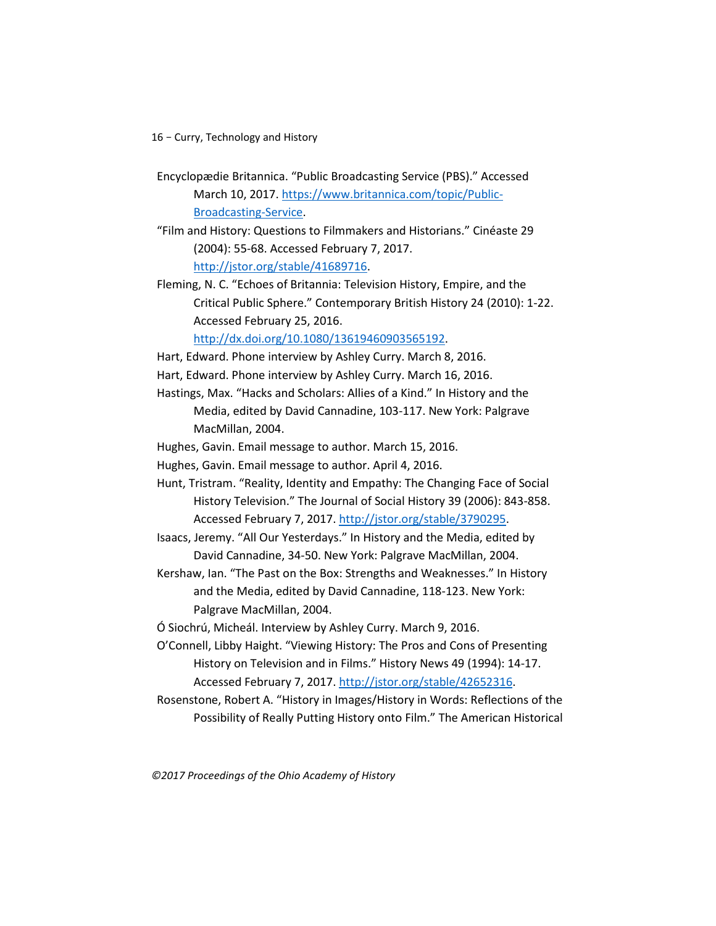- Encyclopædie Britannica. "Public Broadcasting Service (PBS)." Accessed March 10, 2017. [https://www.britannica.com/topic/Public-](https://www.britannica.com/topic/Public-Broadcasting-Service)[Broadcasting-Service.](https://www.britannica.com/topic/Public-Broadcasting-Service)
- "Film and History: Questions to Filmmakers and Historians." Cinéaste 29 (2004): 55-68. Accessed February 7, 2017. [http://jstor.org/stable/41689716.](http://jstor.org/stable/41689716)

Fleming, N. C. "Echoes of Britannia: Television History, Empire, and the Critical Public Sphere." Contemporary British History 24 (2010): 1-22. Accessed February 25, 2016.

[http://dx.doi.org/10.1080/13619460903565192.](http://dx.doi.org/10.1080/13619460903565192)

- Hart, Edward. Phone interview by Ashley Curry. March 8, 2016.
- Hart, Edward. Phone interview by Ashley Curry. March 16, 2016.
- Hastings, Max. "Hacks and Scholars: Allies of a Kind." In History and the Media, edited by David Cannadine, 103-117. New York: Palgrave MacMillan, 2004.
- Hughes, Gavin. Email message to author. March 15, 2016.
- Hughes, Gavin. Email message to author. April 4, 2016.
- Hunt, Tristram. "Reality, Identity and Empathy: The Changing Face of Social History Television." The Journal of Social History 39 (2006): 843-858. Accessed February 7, 2017. [http://jstor.org/stable/3790295.](http://jstor.org/stable/3790295)
- Isaacs, Jeremy. "All Our Yesterdays." In History and the Media, edited by David Cannadine, 34-50. New York: Palgrave MacMillan, 2004.
- Kershaw, Ian. "The Past on the Box: Strengths and Weaknesses." In History and the Media, edited by David Cannadine, 118-123. New York: Palgrave MacMillan, 2004.

Ó Siochrú, Micheál. Interview by Ashley Curry. March 9, 2016.

- O'Connell, Libby Haight. "Viewing History: The Pros and Cons of Presenting History on Television and in Films." History News 49 (1994): 14-17. Accessed February 7, 2017. [http://jstor.org/stable/42652316.](http://jstor.org/stable/42652316)
- Rosenstone, Robert A. "History in Images/History in Words: Reflections of the Possibility of Really Putting History onto Film." The American Historical